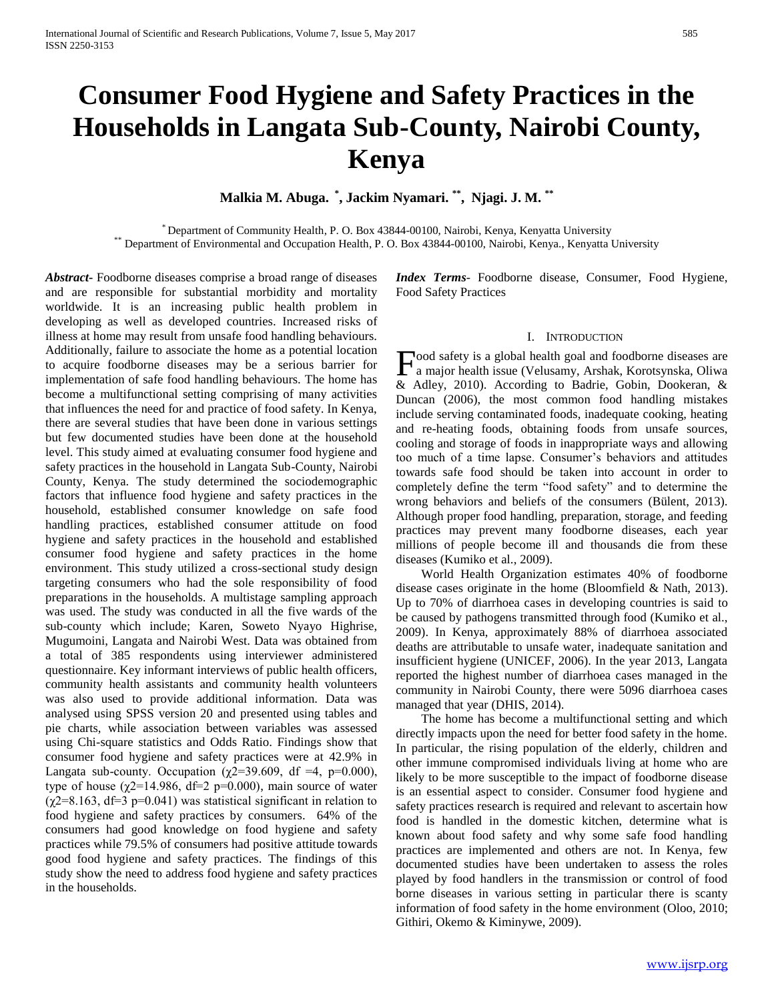# **Consumer Food Hygiene and Safety Practices in the Households in Langata Sub-County, Nairobi County, Kenya**

**Malkia M. Abuga. \* , Jackim Nyamari. \*\* , Njagi. J. M. \*\***

\* Department of Community Health, P. O. Box 43844-00100, Nairobi, Kenya, Kenyatta University \*\* Department of Environmental and Occupation Health, P. O. Box 43844-00100, Nairobi, Kenya., Kenyatta University

*Abstract***-** Foodborne diseases comprise a broad range of diseases and are responsible for substantial morbidity and mortality worldwide. It is an increasing public health problem in developing as well as developed countries. Increased risks of illness at home may result from unsafe food handling behaviours. Additionally, failure to associate the home as a potential location to acquire foodborne diseases may be a serious barrier for implementation of safe food handling behaviours. The home has become a multifunctional setting comprising of many activities that influences the need for and practice of food safety. In Kenya, there are several studies that have been done in various settings but few documented studies have been done at the household level. This study aimed at evaluating consumer food hygiene and safety practices in the household in Langata Sub-County, Nairobi County, Kenya. The study determined the sociodemographic factors that influence food hygiene and safety practices in the household, established consumer knowledge on safe food handling practices, established consumer attitude on food hygiene and safety practices in the household and established consumer food hygiene and safety practices in the home environment. This study utilized a cross-sectional study design targeting consumers who had the sole responsibility of food preparations in the households. A multistage sampling approach was used. The study was conducted in all the five wards of the sub-county which include; Karen, Soweto Nyayo Highrise, Mugumoini, Langata and Nairobi West. Data was obtained from a total of 385 respondents using interviewer administered questionnaire. Key informant interviews of public health officers, community health assistants and community health volunteers was also used to provide additional information. Data was analysed using SPSS version 20 and presented using tables and pie charts, while association between variables was assessed using Chi-square statistics and Odds Ratio. Findings show that consumer food hygiene and safety practices were at 42.9% in Langata sub-county. Occupation ( $\chi$ 2=39.609, df =4, p=0.000), type of house ( $\chi$ 2=14.986, df=2 p=0.000), main source of water  $(\chi$ 2=8.163, df=3 p=0.041) was statistical significant in relation to food hygiene and safety practices by consumers. 64% of the consumers had good knowledge on food hygiene and safety practices while 79.5% of consumers had positive attitude towards good food hygiene and safety practices. The findings of this study show the need to address food hygiene and safety practices in the households.

*Index Terms*- Foodborne disease, Consumer, Food Hygiene, Food Safety Practices

#### I. INTRODUCTION

ood safety is a global health goal and foodborne diseases are **F**ood safety is a global health goal and foodborne diseases are a major health issue (Velusamy, Arshak, Korotsynska, Oliwa & Adley, 2010). According to Badrie, Gobin, Dookeran, & Duncan (2006), the most common food handling mistakes include serving contaminated foods, inadequate cooking, heating and re-heating foods, obtaining foods from unsafe sources, cooling and storage of foods in inappropriate ways and allowing too much of a time lapse. Consumer's behaviors and attitudes towards safe food should be taken into account in order to completely define the term "food safety" and to determine the wrong behaviors and beliefs of the consumers (Bülent, 2013). Although proper food handling, preparation, storage, and feeding practices may prevent many foodborne diseases, each year millions of people become ill and thousands die from these diseases (Kumiko et al., 2009).

 World Health Organization estimates 40% of foodborne disease cases originate in the home (Bloomfield & Nath, 2013). Up to 70% of diarrhoea cases in developing countries is said to be caused by pathogens transmitted through food (Kumiko et al., 2009). In Kenya, approximately 88% of diarrhoea associated deaths are attributable to unsafe water, inadequate sanitation and insufficient hygiene (UNICEF, 2006). In the year 2013, Langata reported the highest number of diarrhoea cases managed in the community in Nairobi County, there were 5096 diarrhoea cases managed that year (DHIS, 2014).

 The home has become a multifunctional setting and which directly impacts upon the need for better food safety in the home. In particular, the rising population of the elderly, children and other immune compromised individuals living at home who are likely to be more susceptible to the impact of foodborne disease is an essential aspect to consider. Consumer food hygiene and safety practices research is required and relevant to ascertain how food is handled in the domestic kitchen, determine what is known about food safety and why some safe food handling practices are implemented and others are not. In Kenya, few documented studies have been undertaken to assess the roles played by food handlers in the transmission or control of food borne diseases in various setting in particular there is scanty information of food safety in the home environment (Oloo, 2010; Githiri, Okemo & Kiminywe, 2009).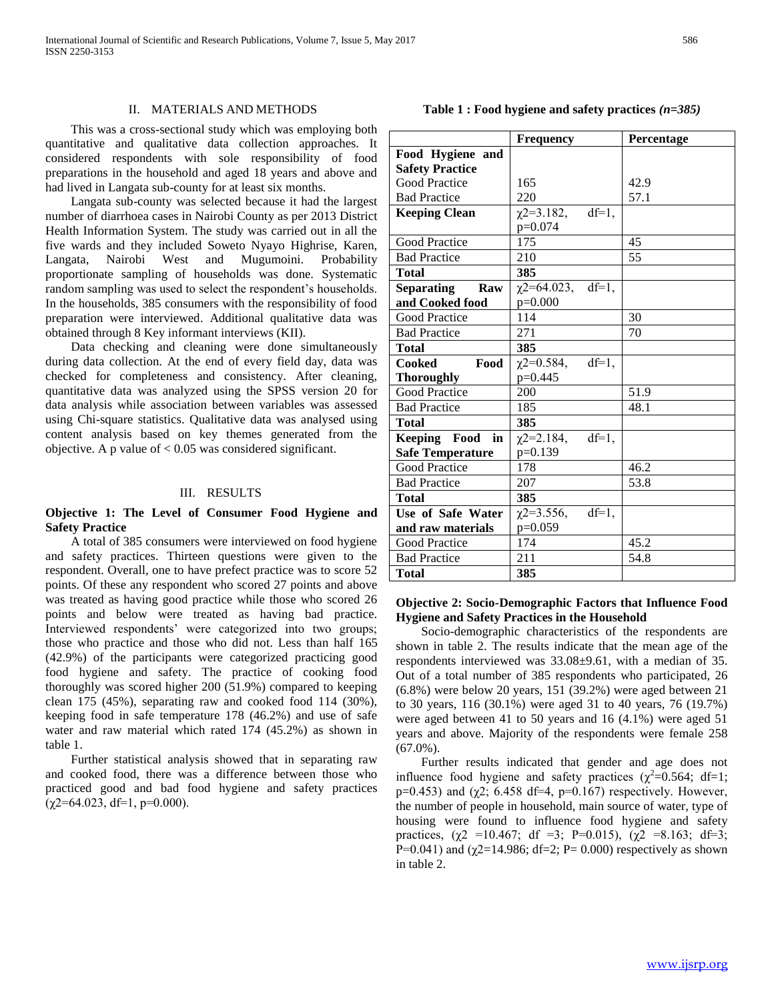#### II. MATERIALS AND METHODS

 This was a cross-sectional study which was employing both quantitative and qualitative data collection approaches. It considered respondents with sole responsibility of food preparations in the household and aged 18 years and above and had lived in Langata sub-county for at least six months.

 Langata sub-county was selected because it had the largest number of diarrhoea cases in Nairobi County as per 2013 District Health Information System. The study was carried out in all the five wards and they included Soweto Nyayo Highrise, Karen, Langata, Nairobi West and Mugumoini. Probability proportionate sampling of households was done. Systematic random sampling was used to select the respondent's households. In the households, 385 consumers with the responsibility of food preparation were interviewed. Additional qualitative data was obtained through 8 Key informant interviews (KII).

Data checking and cleaning were done simultan during data collection. At the end of checked for completeness and c quantitative data was analyzed using data analysis while association bety using Chi-square statistics. Qualitation content analysis based on key themes objective. A p value of  $< 0.05$  was considered significant.

#### III. RESULTS

**Objective 1: The Level of Consumer Food Hygiene and Safety Practice**

 A total of 385 consumers were interviewed on food hygiene and safety practices. Thirteen questions were given to the respondent. Overall, one to have prefect practice was to score 52 points. Of these any respondent who scored 27 points and above was treated as having good practice while those who scored 26 points and below were treated as having bad practice. Interviewed respondents' were categorized into two groups; those who practice and those who did not. Less than half 165 (42.9%) of the participants were categorized practicing good food hygiene and safety. The practice of cooking food thoroughly was scored higher 200 (51.9%) compared to keeping clean 175 (45%), separating raw and cooked food 114 (30%), keeping food in safe temperature 178 (46.2%) and use of safe water and raw material which rated 174 (45.2%) as shown in table 1.

 Further statistical analysis showed that in separating raw and cooked food, there was a difference between those who practiced good and bad food hygiene and safety practices  $(\chi2=64.023, df=1, p=0.000).$ 

| were done simulaneously      | 1 otal                  | J.                      |
|------------------------------|-------------------------|-------------------------|
| of every field day, data was | Cooked<br>Food          | X.                      |
| onsistency. After cleaning,  | <b>Thoroughly</b>       | p                       |
| ng the SPSS version 20 for   | <b>Good Practice</b>    | $\overline{2}$          |
| ween variables was assessed  | <b>Bad Practice</b>     | $\mathbf{1}$            |
| ive data was analysed using  | <b>Total</b>            | $\overline{\mathbf{3}}$ |
| hemes generated from the     | Keeping Food in         | χ,                      |
| onsidered significant.       | <b>Safe Temperature</b> | p:                      |
|                              | Good Practice           | $1^{\prime}$            |
|                              | <b>Dad Dractico</b>     | $\mathcal{L}$           |

#### **Safety Practice** Good Practice Bad Practice 165 220 42.9 57.1 **Keeping Clean**  $\chi$ 2=3.182, df=1, p=0.074 Good Practice 175 45 Bad Practice 210 55 **Total 385 Separating Raw and Cooked food**  $\chi$ 2=64.023,  $\overline{df=1}$ , p=0.000 Good Practice 114 30 Bad Practice 271 70 **Total 385**  $2=0.584$ , df=1,  $=0.445$ Good Practice 200 51.9 Bad Practice 185 48.1 **Total 385**  $2=2.184$ , df=1,  $=0.139$ Good Practice 178 46.2 Bad Practice 207 53.8 **Total 385 Use of Safe Water and raw materials**  $\chi$ 2=3.556, df=1, p=0.059 Good Practice 174 45.2

#### **Objective 2: Socio-Demographic Factors that Influence Food Hygiene and Safety Practices in the Household**

Bad Practice 211 54.8

**Total 385**

 Socio-demographic characteristics of the respondents are shown in table 2. The results indicate that the mean age of the respondents interviewed was 33.08±9.61, with a median of 35. Out of a total number of 385 respondents who participated, 26 (6.8%) were below 20 years, 151 (39.2%) were aged between 21 to 30 years, 116 (30.1%) were aged 31 to 40 years, 76 (19.7%) were aged between 41 to 50 years and 16 (4.1%) were aged 51 years and above. Majority of the respondents were female 258 (67.0%).

 Further results indicated that gender and age does not influence food hygiene and safety practices  $(\chi^2=0.564; df=1;$ p=0.453) and ( $χ$ 2; 6.458 df=4, p=0.167) respectively. However, the number of people in household, main source of water, type of housing were found to influence food hygiene and safety practices,  $(\chi^2$  =10.467; df =3; P=0.015),  $(\chi^2$  =8.163; df=3; P=0.041) and ( $\chi$ 2=14.986; df=2; P= 0.000) respectively as shown in table 2.

**Food Hygiene and** 

**Frequency Percentage**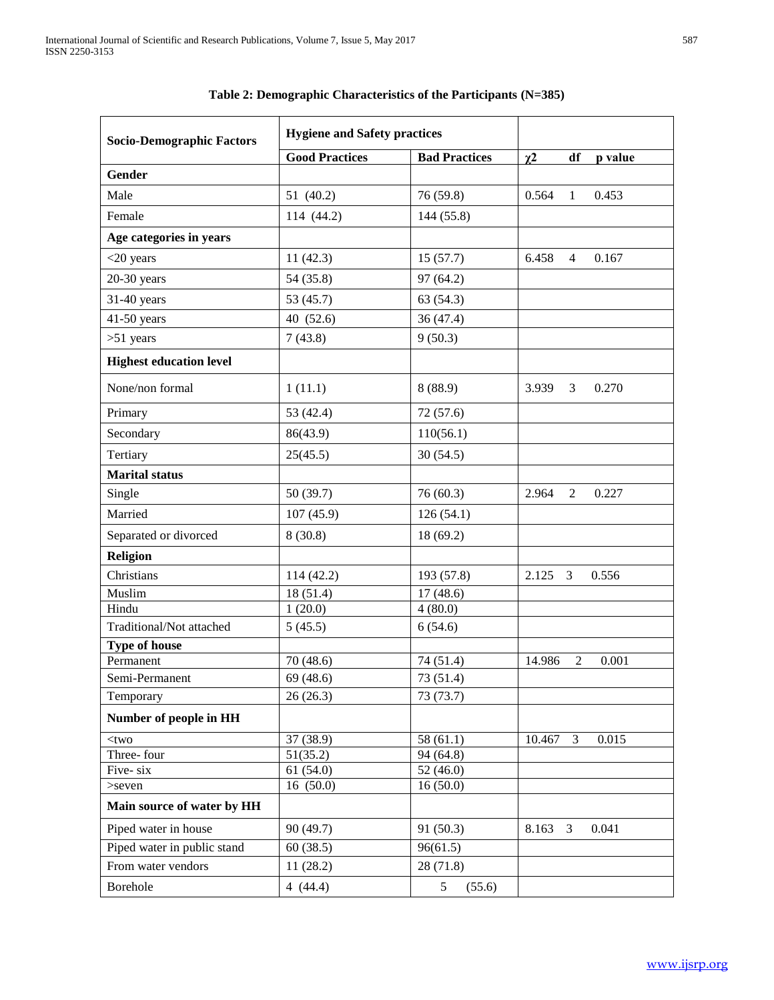| <b>Socio-Demographic Factors</b> | <b>Hygiene and Safety practices</b> |                      |                         |                         |
|----------------------------------|-------------------------------------|----------------------|-------------------------|-------------------------|
|                                  | <b>Good Practices</b>               | <b>Bad Practices</b> | $\chi^2$                | df<br>p value           |
| Gender                           |                                     |                      |                         |                         |
| Male                             | 51 (40.2)                           | 76 (59.8)            | 0.564                   | $\mathbf{1}$<br>0.453   |
| Female                           | 114 (44.2)                          | 144 (55.8)           |                         |                         |
| Age categories in years          |                                     |                      |                         |                         |
| $<$ 20 years                     | 11(42.3)                            | 15(57.7)             | 6.458                   | 0.167<br>$\overline{4}$ |
| $20-30$ years                    | 54 (35.8)                           | 97 (64.2)            |                         |                         |
| 31-40 years                      | 53 (45.7)                           | 63(54.3)             |                         |                         |
| 41-50 years                      | 40 (52.6)                           | 36 (47.4)            |                         |                         |
| $>51$ years                      | 7(43.8)                             | 9(50.3)              |                         |                         |
| <b>Highest education level</b>   |                                     |                      |                         |                         |
| None/non formal                  | 1(11.1)                             | 8(88.9)              | 3.939                   | 3<br>0.270              |
| Primary                          | 53 (42.4)                           | 72 (57.6)            |                         |                         |
| Secondary                        | 86(43.9)                            | 110(56.1)            |                         |                         |
| Tertiary                         | 25(45.5)                            | 30(54.5)             |                         |                         |
| <b>Marital</b> status            |                                     |                      |                         |                         |
| Single                           | 50 (39.7)                           | 76(60.3)             | 2.964                   | 2<br>0.227              |
| Married                          | 107(45.9)                           | 126(54.1)            |                         |                         |
| Separated or divorced            | 8(30.8)                             | 18(69.2)             |                         |                         |
| <b>Religion</b>                  |                                     |                      |                         |                         |
| Christians                       | 114 (42.2)                          | 193 (57.8)           | 2.125<br>$\overline{3}$ | 0.556                   |
| Muslim                           | 18 (51.4)                           | 17(48.6)             |                         |                         |
| Hindu                            | 1(20.0)                             | 4(80.0)              |                         |                         |
| Traditional/Not attached         | 5(45.5)                             | 6(54.6)              |                         |                         |
| <b>Type of house</b>             |                                     |                      |                         |                         |
| Permanent                        | 70 (48.6)                           | 74 (51.4)            | 14.986                  | $\overline{2}$<br>0.001 |
| Semi-Permanent                   | 69 (48.6)                           | 73 (51.4)            |                         |                         |
| Temporary                        | 26(26.3)                            | 73 (73.7)            |                         |                         |
| Number of people in HH           |                                     |                      |                         |                         |
| $<$ two                          | 37 (38.9)                           | 58(61.1)             | 10.467                  | 3<br>0.015              |
| Three-four                       | 51(35.2)                            | 94 (64.8)            |                         |                         |
| Five-six                         | $\overline{61}$ (54.0)              | 52(46.0)             |                         |                         |
| >seven                           | 16(50.0)                            | 16(50.0)             |                         |                         |
| Main source of water by HH       |                                     |                      |                         |                         |
| Piped water in house             | 90 (49.7)                           | 91 (50.3)            | 8.163<br>3              | 0.041                   |
| Piped water in public stand      | 60(38.5)                            | 96(61.5)             |                         |                         |
| From water vendors               | 11(28.2)                            | 28 (71.8)            |                         |                         |
| Borehole                         | 4(44.4)                             | 5<br>(55.6)          |                         |                         |

# **Table 2: Demographic Characteristics of the Participants (N=385)**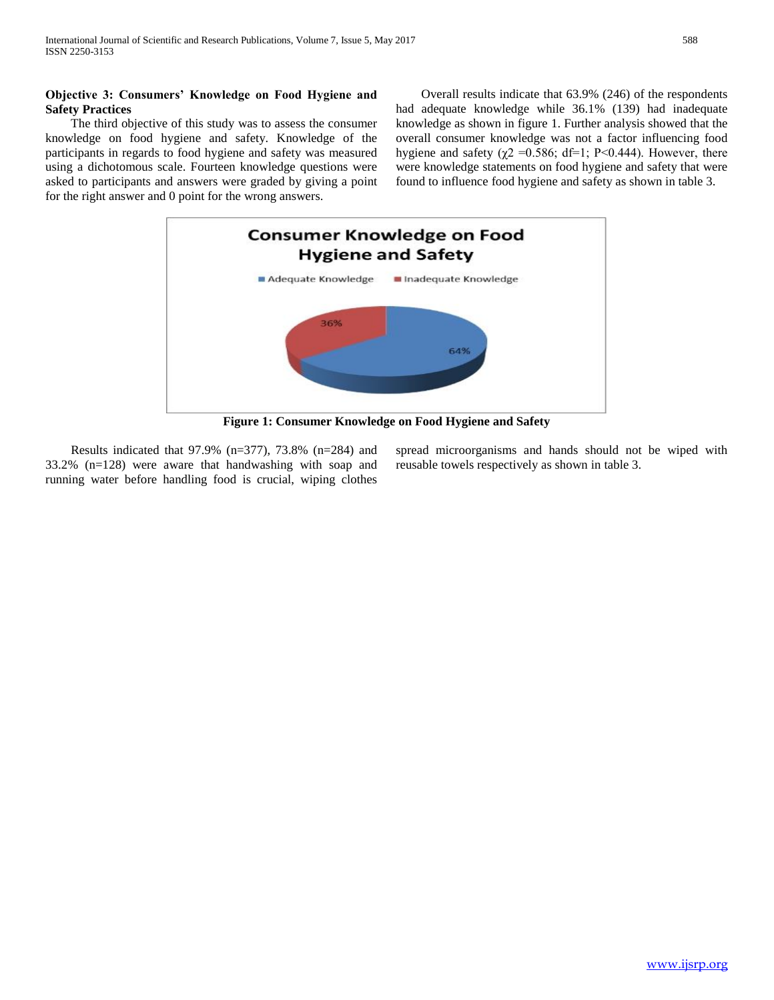## **Objective 3: Consumers' Knowledge on Food Hygiene and Safety Practices**

 The third objective of this study was to assess the consumer knowledge on food hygiene and safety. Knowledge of the participants in regards to food hygiene and safety was measured using a dichotomous scale. Fourteen knowledge questions were asked to participants and answers were graded by giving a point for the right answer and 0 point for the wrong answers.

 Overall results indicate that 63.9% (246) of the respondents had adequate knowledge while 36.1% (139) had inadequate knowledge as shown in figure 1. Further analysis showed that the overall consumer knowledge was not a factor influencing food hygiene and safety ( $\chi$ 2 = 0.586; df=1; P<0.444). However, there were knowledge statements on food hygiene and safety that were found to influence food hygiene and safety as shown in table 3.



**Figure 1: Consumer Knowledge on Food Hygiene and Safety**

 Results indicated that 97.9% (n=377), 73.8% (n=284) and 33.2% (n=128) were aware that handwashing with soap and running water before handling food is crucial, wiping clothes

spread microorganisms and hands should not be wiped with reusable towels respectively as shown in table 3.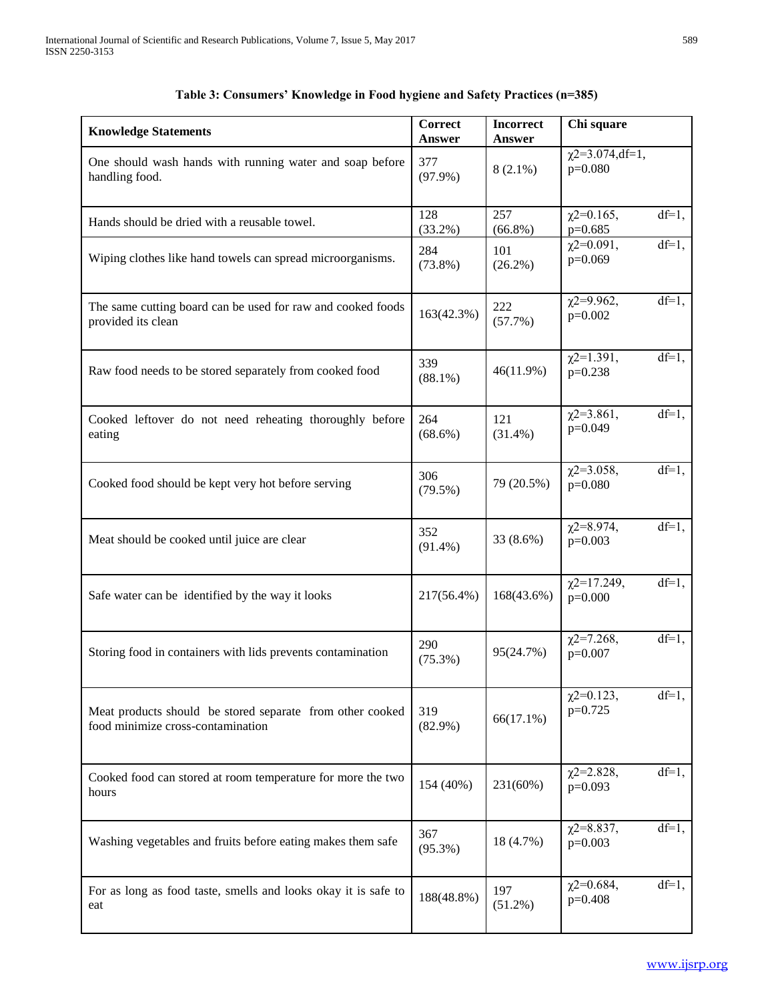|                                                                                                | <b>Correct</b>    | <b>Incorrect</b>  | Chi square                        |          |
|------------------------------------------------------------------------------------------------|-------------------|-------------------|-----------------------------------|----------|
| <b>Knowledge Statements</b>                                                                    | Answer            | <b>Answer</b>     |                                   |          |
| One should wash hands with running water and soap before<br>handling food.                     | 377<br>$(97.9\%)$ | $8(2.1\%)$        | $\chi$ 2=3.074,df=1,<br>$p=0.080$ |          |
| Hands should be dried with a reusable towel.                                                   | 128<br>$(33.2\%)$ | 257<br>$(66.8\%)$ | $\chi$ 2=0.165,<br>$p=0.685$      | $df=1,$  |
| Wiping clothes like hand towels can spread microorganisms.                                     | 284<br>$(73.8\%)$ | 101<br>$(26.2\%)$ | $\chi$ 2=0.091,<br>$p=0.069$      | $df=1,$  |
| The same cutting board can be used for raw and cooked foods<br>provided its clean              | 163(42.3%)        | 222<br>(57.7%)    | $\chi$ 2=9.962,<br>$p=0.002$      | $df=1,$  |
| Raw food needs to be stored separately from cooked food                                        | 339<br>$(88.1\%)$ | 46(11.9%)         | $\chi$ 2=1.391,<br>$p=0.238$      | $df=1$ , |
| Cooked leftover do not need reheating thoroughly before<br>eating                              | 264<br>$(68.6\%)$ | 121<br>$(31.4\%)$ | $\chi$ 2=3.861,<br>$p=0.049$      | $df=1,$  |
| Cooked food should be kept very hot before serving                                             | 306<br>$(79.5\%)$ | 79 (20.5%)        | $\chi$ 2=3.058,<br>$p=0.080$      | $df=1,$  |
| Meat should be cooked until juice are clear                                                    | 352<br>$(91.4\%)$ | 33 (8.6%)         | $\chi$ 2=8.974,<br>$p=0.003$      | $df=1,$  |
| Safe water can be identified by the way it looks                                               | 217(56.4%)        | 168(43.6%)        | $\chi$ 2=17.249,<br>$p=0.000$     | $df=1,$  |
| Storing food in containers with lids prevents contamination                                    | 290<br>$(75.3\%)$ | 95(24.7%)         | $\chi$ 2=7.268,<br>$p=0.007$      | $df=1,$  |
| Meat products should be stored separate from other cooked<br>food minimize cross-contamination | 319<br>$(82.9\%)$ | $66(17.1\%)$      | $\chi$ 2=0.123,<br>$p=0.725$      | $df=1,$  |
| Cooked food can stored at room temperature for more the two<br>hours                           | 154 (40%)         | 231(60%)          | $\chi$ 2=2.828,<br>$p=0.093$      | $df=1,$  |
| Washing vegetables and fruits before eating makes them safe                                    | 367<br>$(95.3\%)$ | 18 (4.7%)         | $\chi$ 2=8.837,<br>$p=0.003$      | $df=1,$  |
| For as long as food taste, smells and looks okay it is safe to<br>eat                          | 188(48.8%)        | 197<br>$(51.2\%)$ | $\chi$ 2=0.684,<br>$p=0.408$      | $df=1,$  |

# **Table 3: Consumers' Knowledge in Food hygiene and Safety Practices (n=385)**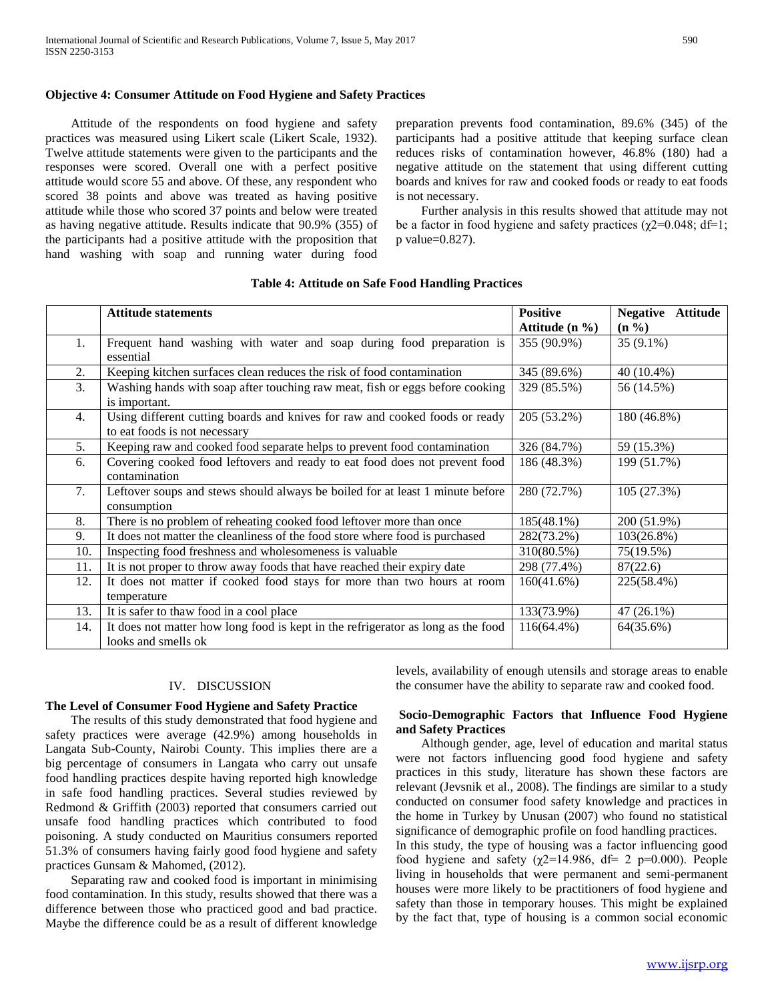Attitude of the respondents on food hygiene and safety practices was measured using Likert scale (Likert Scale, 1932). Twelve attitude statements were given to the participants and the responses were scored. Overall one with a perfect positive attitude would score 55 and above. Of these, any respondent who scored 38 points and above was treated as having positive attitude while those who scored 37 points and below were treated as having negative attitude. Results indicate that 90.9% (355) of the participants had a positive attitude with the proposition that hand washing with soap and running water during food

preparation prevents food contamination, 89.6% (345) of the participants had a positive attitude that keeping surface clean reduces risks of contamination however, 46.8% (180) had a negative attitude on the statement that using different cutting boards and knives for raw and cooked foods or ready to eat foods is not necessary.

 Further analysis in this results showed that attitude may not be a factor in food hygiene and safety practices ( $\chi$ 2=0.048; df=1; p value=0.827).

|     | <b>Attitude statements</b>                                                       | <b>Positive</b>    | <b>Negative</b><br><b>Attitude</b> |
|-----|----------------------------------------------------------------------------------|--------------------|------------------------------------|
|     |                                                                                  | Attitude (n $\%$ ) | $(n \% )$                          |
| 1.  | Frequent hand washing with water and soap during food preparation is             | 355 (90.9%)        | $35(9.1\%)$                        |
|     | essential                                                                        |                    |                                    |
| 2.  | Keeping kitchen surfaces clean reduces the risk of food contamination            | 345 (89.6%)        | 40 (10.4%)                         |
| 3.  | Washing hands with soap after touching raw meat, fish or eggs before cooking     | 329 (85.5%)        | 56 (14.5%)                         |
|     | is important.                                                                    |                    |                                    |
| 4.  | Using different cutting boards and knives for raw and cooked foods or ready      | 205 (53.2%)        | 180 (46.8%)                        |
|     | to eat foods is not necessary                                                    |                    |                                    |
| 5.  | Keeping raw and cooked food separate helps to prevent food contamination         | 326 (84.7%)        | 59 (15.3%)                         |
| 6.  | Covering cooked food leftovers and ready to eat food does not prevent food       | 186 (48.3%)        | 199 (51.7%)                        |
|     | contamination                                                                    |                    |                                    |
| 7.  | Leftover soups and stews should always be boiled for at least 1 minute before    | 280 (72.7%)        | 105 (27.3%)                        |
|     | consumption                                                                      |                    |                                    |
| 8.  | There is no problem of reheating cooked food leftover more than once             | 185(48.1%)         | 200 (51.9%)                        |
| 9.  | It does not matter the cleanliness of the food store where food is purchased     | 282(73.2%)         | $103(26.8\%)$                      |
| 10. | Inspecting food freshness and wholesomeness is valuable                          | 310(80.5%)         | 75(19.5%)                          |
| 11. | It is not proper to throw away foods that have reached their expiry date         | 298 (77.4%)        | 87(22.6)                           |
| 12. | It does not matter if cooked food stays for more than two hours at room          | 160(41.6%)         | 225(58.4%)                         |
|     | temperature                                                                      |                    |                                    |
| 13. | It is safer to thaw food in a cool place                                         | 133(73.9%)         | 47 (26.1%)                         |
| 14. | It does not matter how long food is kept in the refrigerator as long as the food | 116(64.4%)         | 64(35.6%)                          |
|     | looks and smells ok                                                              |                    |                                    |

#### **Table 4: Attitude on Safe Food Handling Practices**

#### IV. DISCUSSION

### **The Level of Consumer Food Hygiene and Safety Practice**

 The results of this study demonstrated that food hygiene and safety practices were average (42.9%) among households in Langata Sub-County, Nairobi County. This implies there are a big percentage of consumers in Langata who carry out unsafe food handling practices despite having reported high knowledge in safe food handling practices. Several studies reviewed by Redmond & Griffith (2003) reported that consumers carried out unsafe food handling practices which contributed to food poisoning. A study conducted on Mauritius consumers reported 51.3% of consumers having fairly good food hygiene and safety practices Gunsam & Mahomed, (2012).

 Separating raw and cooked food is important in minimising food contamination. In this study, results showed that there was a difference between those who practiced good and bad practice. Maybe the difference could be as a result of different knowledge levels, availability of enough utensils and storage areas to enable the consumer have the ability to separate raw and cooked food.

## **Socio-Demographic Factors that Influence Food Hygiene and Safety Practices**

 Although gender, age, level of education and marital status were not factors influencing good food hygiene and safety practices in this study, literature has shown these factors are relevant (Jevsnik et al., 2008). The findings are similar to a study conducted on consumer food safety knowledge and practices in the home in Turkey by Unusan (2007) who found no statistical significance of demographic profile on food handling practices.

In this study, the type of housing was a factor influencing good food hygiene and safety ( $\chi$ 2=14.986, df= 2 p=0.000). People living in households that were permanent and semi-permanent houses were more likely to be practitioners of food hygiene and safety than those in temporary houses. This might be explained by the fact that, type of housing is a common social economic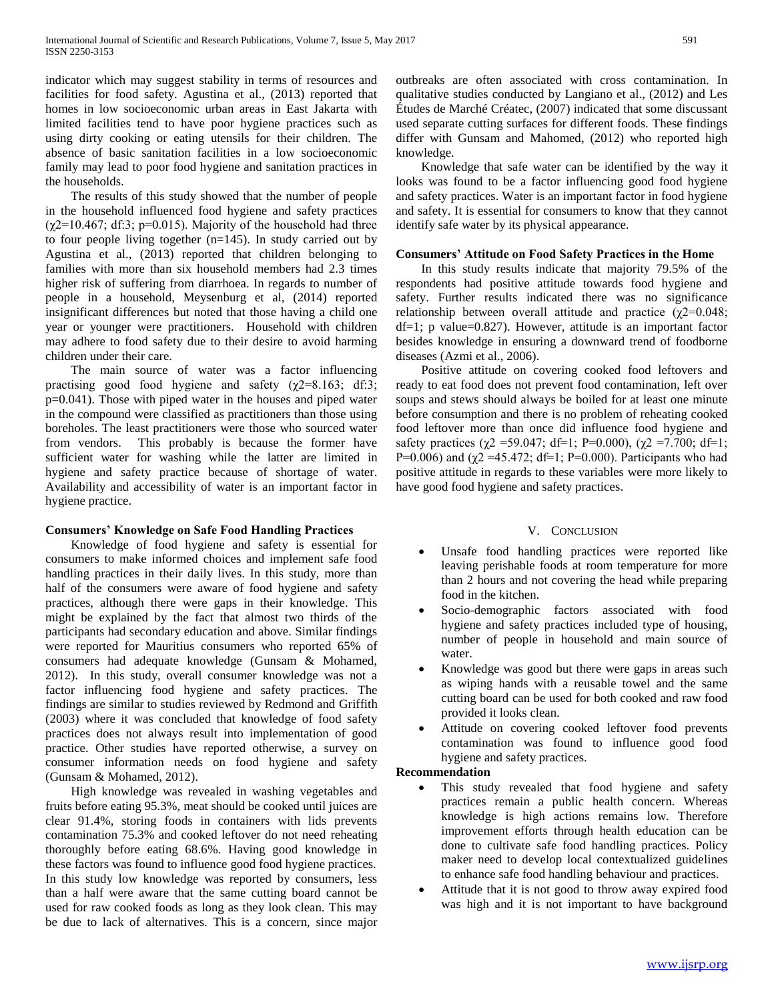indicator which may suggest stability in terms of resources and facilities for food safety. Agustina et al., (2013) reported that homes in low socioeconomic urban areas in East Jakarta with limited facilities tend to have poor hygiene practices such as using dirty cooking or eating utensils for their children. The absence of basic sanitation facilities in a low socioeconomic family may lead to poor food hygiene and sanitation practices in the households.

 The results of this study showed that the number of people in the household influenced food hygiene and safety practices  $(\gamma 2=10.467; df:3; p=0.015)$ . Majority of the household had three to four people living together  $(n=145)$ . In study carried out by Agustina et al., (2013) reported that children belonging to families with more than six household members had 2.3 times higher risk of suffering from diarrhoea. In regards to number of people in a household, Meysenburg et al, (2014) reported insignificant differences but noted that those having a child one year or younger were practitioners. Household with children may adhere to food safety due to their desire to avoid harming children under their care.

 The main source of water was a factor influencing practising good food hygiene and safety  $(\gamma2=8.163; \text{ df} \cdot 3;$ p=0.041). Those with piped water in the houses and piped water in the compound were classified as practitioners than those using boreholes. The least practitioners were those who sourced water from vendors. This probably is because the former have sufficient water for washing while the latter are limited in hygiene and safety practice because of shortage of water. Availability and accessibility of water is an important factor in hygiene practice.

### **Consumers' Knowledge on Safe Food Handling Practices**

 Knowledge of food hygiene and safety is essential for consumers to make informed choices and implement safe food handling practices in their daily lives. In this study, more than half of the consumers were aware of food hygiene and safety practices, although there were gaps in their knowledge. This might be explained by the fact that almost two thirds of the participants had secondary education and above. Similar findings were reported for Mauritius consumers who reported 65% of consumers had adequate knowledge (Gunsam & Mohamed, 2012). In this study, overall consumer knowledge was not a factor influencing food hygiene and safety practices. The findings are similar to studies reviewed by Redmond and Griffith (2003) where it was concluded that knowledge of food safety practices does not always result into implementation of good practice. Other studies have reported otherwise, a survey on consumer information needs on food hygiene and safety (Gunsam & Mohamed, 2012).

 High knowledge was revealed in washing vegetables and fruits before eating 95.3%, meat should be cooked until juices are clear 91.4%, storing foods in containers with lids prevents contamination 75.3% and cooked leftover do not need reheating thoroughly before eating 68.6%. Having good knowledge in these factors was found to influence good food hygiene practices. In this study low knowledge was reported by consumers, less than a half were aware that the same cutting board cannot be used for raw cooked foods as long as they look clean. This may be due to lack of alternatives. This is a concern, since major outbreaks are often associated with cross contamination. In qualitative studies conducted by Langiano et al., (2012) and Les Études de Marché Créatec, (2007) indicated that some discussant used separate cutting surfaces for different foods. These findings differ with Gunsam and Mahomed, (2012) who reported high knowledge.

 Knowledge that safe water can be identified by the way it looks was found to be a factor influencing good food hygiene and safety practices. Water is an important factor in food hygiene and safety. It is essential for consumers to know that they cannot identify safe water by its physical appearance.

### **Consumers' Attitude on Food Safety Practices in the Home**

 In this study results indicate that majority 79.5% of the respondents had positive attitude towards food hygiene and safety. Further results indicated there was no significance relationship between overall attitude and practice ( $χ$ 2=0.048; df=1; p value=0.827). However, attitude is an important factor besides knowledge in ensuring a downward trend of foodborne diseases (Azmi et al., 2006).

 Positive attitude on covering cooked food leftovers and ready to eat food does not prevent food contamination, left over soups and stews should always be boiled for at least one minute before consumption and there is no problem of reheating cooked food leftover more than once did influence food hygiene and safety practices ( $\chi$ 2 = 59.047; df=1; P=0.000), ( $\chi$ 2 = 7.700; df=1; P=0.006) and ( $\chi$ 2 =45.472; df=1; P=0.000). Participants who had positive attitude in regards to these variables were more likely to have good food hygiene and safety practices.

# V. CONCLUSION

- Unsafe food handling practices were reported like leaving perishable foods at room temperature for more than 2 hours and not covering the head while preparing food in the kitchen.
- Socio-demographic factors associated with food hygiene and safety practices included type of housing, number of people in household and main source of water.
- Knowledge was good but there were gaps in areas such as wiping hands with a reusable towel and the same cutting board can be used for both cooked and raw food provided it looks clean.
- Attitude on covering cooked leftover food prevents contamination was found to influence good food hygiene and safety practices.

### **Recommendation**

- This study revealed that food hygiene and safety practices remain a public health concern. Whereas knowledge is high actions remains low. Therefore improvement efforts through health education can be done to cultivate safe food handling practices. Policy maker need to develop local contextualized guidelines to enhance safe food handling behaviour and practices.
- Attitude that it is not good to throw away expired food was high and it is not important to have background